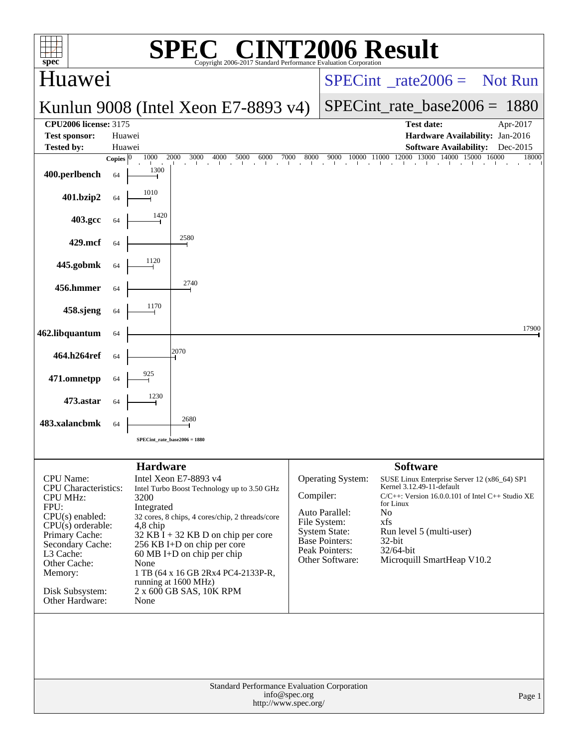| l'2006 Result<br>$\bigwedge$<br>spec <sup>®</sup><br>Copyright 2006-2017 Standard Performance Evaluation Corporation                                                                                                         |                  |                                                                     |                                                                                                                                                                                                                                                                                                                       |               |                                                                                                                                           |                                                                                                                                                                                                                                                                     |                      |  |  |  |
|------------------------------------------------------------------------------------------------------------------------------------------------------------------------------------------------------------------------------|------------------|---------------------------------------------------------------------|-----------------------------------------------------------------------------------------------------------------------------------------------------------------------------------------------------------------------------------------------------------------------------------------------------------------------|---------------|-------------------------------------------------------------------------------------------------------------------------------------------|---------------------------------------------------------------------------------------------------------------------------------------------------------------------------------------------------------------------------------------------------------------------|----------------------|--|--|--|
| Huawei                                                                                                                                                                                                                       |                  |                                                                     |                                                                                                                                                                                                                                                                                                                       |               |                                                                                                                                           | $SPECint^*_rate2006 =$ Not Run                                                                                                                                                                                                                                      |                      |  |  |  |
|                                                                                                                                                                                                                              |                  |                                                                     | Kunlun 9008 (Intel Xeon E7-8893 v4)                                                                                                                                                                                                                                                                                   |               |                                                                                                                                           | $SPECint_rate_base2006 = 1880$                                                                                                                                                                                                                                      |                      |  |  |  |
| <b>CPU2006 license: 3175</b><br><b>Test sponsor:</b><br><b>Tested by:</b>                                                                                                                                                    | Huawei<br>Huawei |                                                                     |                                                                                                                                                                                                                                                                                                                       |               |                                                                                                                                           | <b>Test date:</b><br>Hardware Availability: Jan-2016<br><b>Software Availability:</b>                                                                                                                                                                               | Apr-2017<br>Dec-2015 |  |  |  |
|                                                                                                                                                                                                                              | Copies $ 0 $     | 1000<br>1300                                                        | 2000 3000<br>4000<br>5000<br>6000<br>distribution of a coloration of a coloration of a coloration of a                                                                                                                                                                                                                | 7000<br>8000  |                                                                                                                                           | 9000 10000 11000 12000 13000 14000 15000 16000                                                                                                                                                                                                                      | 18000                |  |  |  |
| 400.perlbench                                                                                                                                                                                                                | 64               | 1010                                                                |                                                                                                                                                                                                                                                                                                                       |               |                                                                                                                                           |                                                                                                                                                                                                                                                                     |                      |  |  |  |
| 401.bzip2                                                                                                                                                                                                                    | 64               | 1420                                                                |                                                                                                                                                                                                                                                                                                                       |               |                                                                                                                                           |                                                                                                                                                                                                                                                                     |                      |  |  |  |
| 403.gcc<br>429.mcf                                                                                                                                                                                                           | 64<br>64         |                                                                     | 2580                                                                                                                                                                                                                                                                                                                  |               |                                                                                                                                           |                                                                                                                                                                                                                                                                     |                      |  |  |  |
| 445.gobmk                                                                                                                                                                                                                    | 64               |                                                                     |                                                                                                                                                                                                                                                                                                                       |               |                                                                                                                                           |                                                                                                                                                                                                                                                                     |                      |  |  |  |
| 456.hmmer                                                                                                                                                                                                                    | 64               |                                                                     | 2740                                                                                                                                                                                                                                                                                                                  |               |                                                                                                                                           |                                                                                                                                                                                                                                                                     |                      |  |  |  |
| 458.sjeng                                                                                                                                                                                                                    | 64               | 1170                                                                |                                                                                                                                                                                                                                                                                                                       |               |                                                                                                                                           |                                                                                                                                                                                                                                                                     |                      |  |  |  |
| 462.libquantum                                                                                                                                                                                                               | 64               |                                                                     |                                                                                                                                                                                                                                                                                                                       |               |                                                                                                                                           |                                                                                                                                                                                                                                                                     | 17900                |  |  |  |
| 464.h264ref                                                                                                                                                                                                                  | 64               |                                                                     | 2070                                                                                                                                                                                                                                                                                                                  |               |                                                                                                                                           |                                                                                                                                                                                                                                                                     |                      |  |  |  |
| 471.omnetpp                                                                                                                                                                                                                  | 64               |                                                                     |                                                                                                                                                                                                                                                                                                                       |               |                                                                                                                                           |                                                                                                                                                                                                                                                                     |                      |  |  |  |
| 473.astar                                                                                                                                                                                                                    | 64               |                                                                     |                                                                                                                                                                                                                                                                                                                       |               |                                                                                                                                           |                                                                                                                                                                                                                                                                     |                      |  |  |  |
| 483.xalancbmk                                                                                                                                                                                                                | 64               |                                                                     | 2680                                                                                                                                                                                                                                                                                                                  |               |                                                                                                                                           |                                                                                                                                                                                                                                                                     |                      |  |  |  |
|                                                                                                                                                                                                                              |                  | SPECint_rate_base2006 = 1880                                        |                                                                                                                                                                                                                                                                                                                       |               |                                                                                                                                           |                                                                                                                                                                                                                                                                     |                      |  |  |  |
| CPU Name:<br>CPU Characteristics:<br><b>CPU MHz:</b><br>FPU:<br>$CPU(s)$ enabled:<br>$CPU(s)$ orderable:<br>Primary Cache:<br>Secondary Cache:<br>L3 Cache:<br>Other Cache:<br>Memory:<br>Disk Subsystem:<br>Other Hardware: |                  | <b>Hardware</b><br>3200<br>Integrated<br>$4,8$ chip<br>None<br>None | Intel Xeon E7-8893 v4<br>Intel Turbo Boost Technology up to 3.50 GHz<br>32 cores, 8 chips, 4 cores/chip, 2 threads/core<br>$32$ KB I + 32 KB D on chip per core<br>256 KB I+D on chip per core<br>60 MB I+D on chip per chip<br>1 TB (64 x 16 GB 2Rx4 PC4-2133P-R,<br>running at 1600 MHz)<br>2 x 600 GB SAS, 10K RPM | Compiler:     | Operating System:<br>Auto Parallel:<br>File System:<br><b>System State:</b><br><b>Base Pointers:</b><br>Peak Pointers:<br>Other Software: | <b>Software</b><br>SUSE Linux Enterprise Server 12 (x86_64) SP1<br>Kernel 3.12.49-11-default<br>$C/C++$ : Version 16.0.0.101 of Intel $C++$ Studio XE<br>for Linux<br>No<br>xfs<br>Run level 5 (multi-user)<br>32-bit<br>$32/64$ -bit<br>Microquill SmartHeap V10.2 |                      |  |  |  |
|                                                                                                                                                                                                                              |                  |                                                                     | Standard Performance Evaluation Corporation<br>http://www.spec.org/                                                                                                                                                                                                                                                   | info@spec.org |                                                                                                                                           |                                                                                                                                                                                                                                                                     | Page 1               |  |  |  |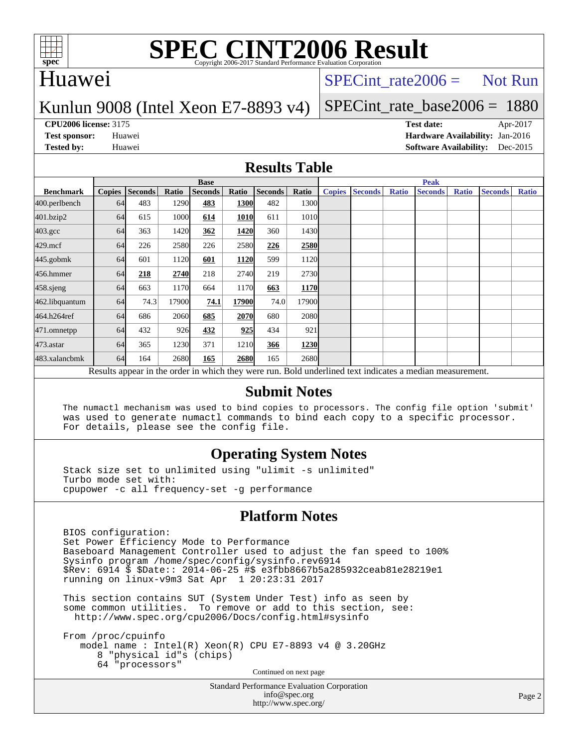

# Huawei

## $SPECTnt_rate2006 = Not Run$

### Kunlun 9008 (Intel Xeon E7-8893 v4)

# [SPECint\\_rate\\_base2006 =](http://www.spec.org/auto/cpu2006/Docs/result-fields.html#SPECintratebase2006) 1880

**[CPU2006 license:](http://www.spec.org/auto/cpu2006/Docs/result-fields.html#CPU2006license)** 3175 **[Test date:](http://www.spec.org/auto/cpu2006/Docs/result-fields.html#Testdate)** Apr-2017 **[Test sponsor:](http://www.spec.org/auto/cpu2006/Docs/result-fields.html#Testsponsor)** Huawei **[Hardware Availability:](http://www.spec.org/auto/cpu2006/Docs/result-fields.html#HardwareAvailability)** Jan-2016 **[Tested by:](http://www.spec.org/auto/cpu2006/Docs/result-fields.html#Testedby)** Huawei **[Software Availability:](http://www.spec.org/auto/cpu2006/Docs/result-fields.html#SoftwareAvailability)** Dec-2015

#### **[Results Table](http://www.spec.org/auto/cpu2006/Docs/result-fields.html#ResultsTable)**

|                                                                                                          | <b>Base</b>   |                |              |                |             |                |             | <b>Peak</b>   |                |              |                |              |                |              |
|----------------------------------------------------------------------------------------------------------|---------------|----------------|--------------|----------------|-------------|----------------|-------------|---------------|----------------|--------------|----------------|--------------|----------------|--------------|
| <b>Benchmark</b>                                                                                         | <b>Copies</b> | <b>Seconds</b> | <b>Ratio</b> | <b>Seconds</b> | Ratio       | <b>Seconds</b> | Ratio       | <b>Copies</b> | <b>Seconds</b> | <b>Ratio</b> | <b>Seconds</b> | <b>Ratio</b> | <b>Seconds</b> | <b>Ratio</b> |
| 400.perlbench                                                                                            | 64            | 483            | 1290         | 483            | 1300        | 482            | 1300l       |               |                |              |                |              |                |              |
| 401.bzip2                                                                                                | 64            | 615            | 1000         | 614            | <b>1010</b> | 611            | 1010        |               |                |              |                |              |                |              |
| $403.\mathrm{gcc}$                                                                                       | 64            | 363            | 1420         | 362            | 1420        | 360            | 1430        |               |                |              |                |              |                |              |
| $429$ .mcf                                                                                               | 64            | 226            | 2580         | 226            | 2580        | 226            | 2580        |               |                |              |                |              |                |              |
| $445$ .gobm $k$                                                                                          | 64            | 601            | 1120         | 601            | 1120        | 599            | 1120        |               |                |              |                |              |                |              |
| 456.hmmer                                                                                                | 64            | 218            | 2740         | 218            | 2740        | 219            | 2730        |               |                |              |                |              |                |              |
| $458$ .sjeng                                                                                             | 64            | 663            | 1170         | 664            | 1170        | 663            | 1170        |               |                |              |                |              |                |              |
| 462.libquantum                                                                                           | 64            | 74.3           | 17900        | 74.1           | 17900       | 74.0           | 17900       |               |                |              |                |              |                |              |
| 464.h264ref                                                                                              | 64            | 686            | 2060         | 685            | <b>2070</b> | 680            | 2080l       |               |                |              |                |              |                |              |
| 471.omnetpp                                                                                              | 64            | 432            | 926          | 432            | 925         | 434            | 921         |               |                |              |                |              |                |              |
| $473$ . astar                                                                                            | 64            | 365            | 1230         | 371            | 1210        | 366            | 1230        |               |                |              |                |              |                |              |
| 483.xalancbmk                                                                                            | 64            | 164            | 2680         | 165            | 2680        | 165            | <b>2680</b> |               |                |              |                |              |                |              |
| Results appear in the order in which they were run. Bold underlined text indicates a median measurement. |               |                |              |                |             |                |             |               |                |              |                |              |                |              |

#### **[Submit Notes](http://www.spec.org/auto/cpu2006/Docs/result-fields.html#SubmitNotes)**

 The numactl mechanism was used to bind copies to processors. The config file option 'submit' was used to generate numactl commands to bind each copy to a specific processor. For details, please see the config file.

### **[Operating System Notes](http://www.spec.org/auto/cpu2006/Docs/result-fields.html#OperatingSystemNotes)**

 Stack size set to unlimited using "ulimit -s unlimited" Turbo mode set with: cpupower -c all frequency-set -g performance

### **[Platform Notes](http://www.spec.org/auto/cpu2006/Docs/result-fields.html#PlatformNotes)**

 BIOS configuration: Set Power Efficiency Mode to Performance Baseboard Management Controller used to adjust the fan speed to 100% Sysinfo program /home/spec/config/sysinfo.rev6914 \$Rev: 6914 \$ \$Date:: 2014-06-25 #\$ e3fbb8667b5a285932ceab81e28219e1 running on linux-v9m3 Sat Apr 1 20:23:31 2017

 This section contains SUT (System Under Test) info as seen by some common utilities. To remove or add to this section, see: <http://www.spec.org/cpu2006/Docs/config.html#sysinfo>

 From /proc/cpuinfo model name : Intel(R) Xeon(R) CPU E7-8893 v4 @ 3.20GHz 8 "physical id"s (chips) 64 "processors" Continued on next page

> Standard Performance Evaluation Corporation [info@spec.org](mailto:info@spec.org) <http://www.spec.org/>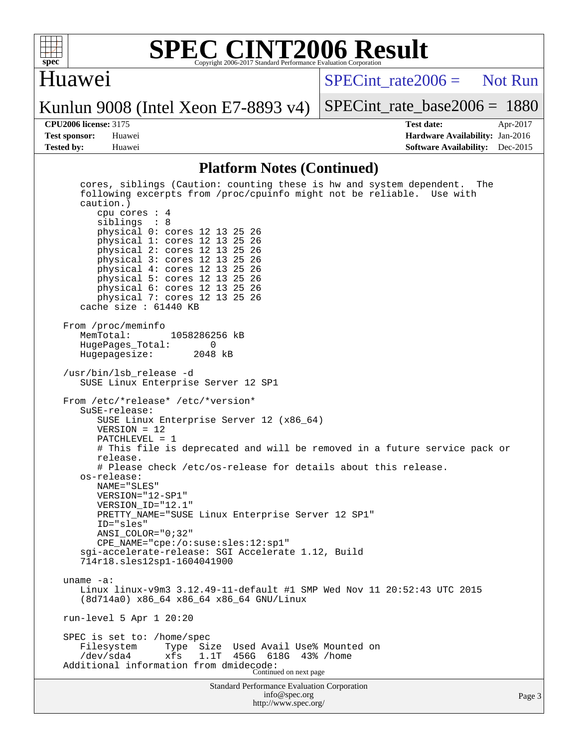

### Huawei

 $SPECint rate2006 =$  Not Run

Kunlun 9008 (Intel Xeon E7-8893 v4)

[SPECint\\_rate\\_base2006 =](http://www.spec.org/auto/cpu2006/Docs/result-fields.html#SPECintratebase2006) 1880

**[CPU2006 license:](http://www.spec.org/auto/cpu2006/Docs/result-fields.html#CPU2006license)** 3175 **[Test date:](http://www.spec.org/auto/cpu2006/Docs/result-fields.html#Testdate)** Apr-2017 **[Test sponsor:](http://www.spec.org/auto/cpu2006/Docs/result-fields.html#Testsponsor)** Huawei **[Hardware Availability:](http://www.spec.org/auto/cpu2006/Docs/result-fields.html#HardwareAvailability)** Jan-2016 **[Tested by:](http://www.spec.org/auto/cpu2006/Docs/result-fields.html#Testedby)** Huawei **[Software Availability:](http://www.spec.org/auto/cpu2006/Docs/result-fields.html#SoftwareAvailability)** Dec-2015

#### **[Platform Notes \(Continued\)](http://www.spec.org/auto/cpu2006/Docs/result-fields.html#PlatformNotes)**

Standard Performance Evaluation Corporation [info@spec.org](mailto:info@spec.org) cores, siblings (Caution: counting these is hw and system dependent. The following excerpts from /proc/cpuinfo might not be reliable. Use with caution.) cpu cores : 4 siblings : 8 physical 0: cores 12 13 25 26 physical 1: cores 12 13 25 26 physical 2: cores 12 13 25 26 physical 3: cores 12 13 25 26 physical 4: cores 12 13 25 26 physical 5: cores 12 13 25 26 physical 6: cores 12 13 25 26 physical 7: cores 12 13 25 26 cache size : 61440 KB From /proc/meminfo<br>MemTotal: 1058286256 kB HugePages\_Total: 0 Hugepagesize: /usr/bin/lsb\_release -d SUSE Linux Enterprise Server 12 SP1 From /etc/\*release\* /etc/\*version\* SuSE-release: SUSE Linux Enterprise Server 12 (x86\_64) VERSION = 12 PATCHLEVEL = 1 # This file is deprecated and will be removed in a future service pack or release. # Please check /etc/os-release for details about this release. os-release: NAME="SLES" VERSION="12-SP1" VERSION\_ID="12.1" PRETTY\_NAME="SUSE Linux Enterprise Server 12 SP1" ID="sles" ANSI\_COLOR="0;32" CPE\_NAME="cpe:/o:suse:sles:12:sp1" sgi-accelerate-release: SGI Accelerate 1.12, Build 714r18.sles12sp1-1604041900 uname -a: Linux linux-v9m3 3.12.49-11-default #1 SMP Wed Nov 11 20:52:43 UTC 2015 (8d714a0) x86\_64 x86\_64 x86\_64 GNU/Linux run-level 5 Apr 1 20:20 SPEC is set to: /home/spec<br>Filesystem Type Size Used Avail Use% Mounted on /dev/sda4 xfs 1.1T 456G 618G 43% /home Additional information from dmidecode: Continued on next page

<http://www.spec.org/>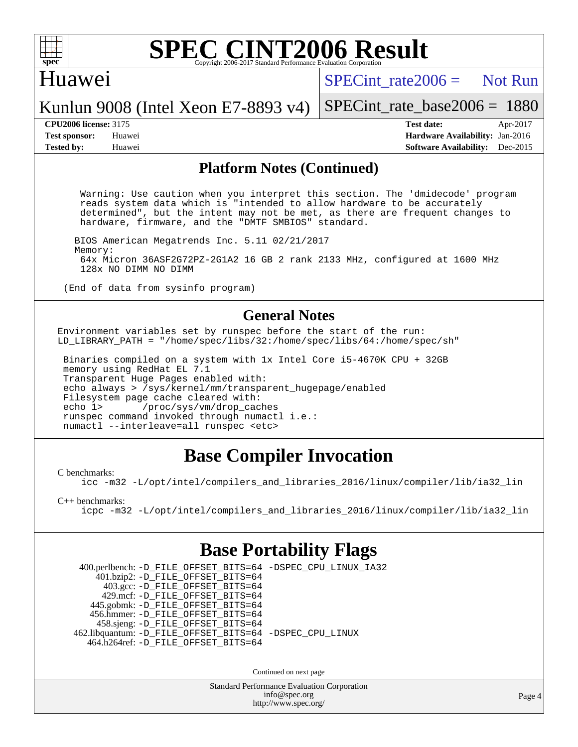

# Huawei

 $SPECint rate2006 =$  Not Run

Kunlun 9008 (Intel Xeon E7-8893 v4)

[SPECint\\_rate\\_base2006 =](http://www.spec.org/auto/cpu2006/Docs/result-fields.html#SPECintratebase2006) 1880

**[CPU2006 license:](http://www.spec.org/auto/cpu2006/Docs/result-fields.html#CPU2006license)** 3175 **[Test date:](http://www.spec.org/auto/cpu2006/Docs/result-fields.html#Testdate)** Apr-2017 **[Test sponsor:](http://www.spec.org/auto/cpu2006/Docs/result-fields.html#Testsponsor)** Huawei **[Hardware Availability:](http://www.spec.org/auto/cpu2006/Docs/result-fields.html#HardwareAvailability)** Jan-2016 **[Tested by:](http://www.spec.org/auto/cpu2006/Docs/result-fields.html#Testedby)** Huawei **[Software Availability:](http://www.spec.org/auto/cpu2006/Docs/result-fields.html#SoftwareAvailability)** Dec-2015

#### **[Platform Notes \(Continued\)](http://www.spec.org/auto/cpu2006/Docs/result-fields.html#PlatformNotes)**

 Warning: Use caution when you interpret this section. The 'dmidecode' program reads system data which is "intended to allow hardware to be accurately determined", but the intent may not be met, as there are frequent changes to hardware, firmware, and the "DMTF SMBIOS" standard.

 BIOS American Megatrends Inc. 5.11 02/21/2017 Memory: 64x Micron 36ASF2G72PZ-2G1A2 16 GB 2 rank 2133 MHz, configured at 1600 MHz 128x NO DIMM NO DIMM

(End of data from sysinfo program)

#### **[General Notes](http://www.spec.org/auto/cpu2006/Docs/result-fields.html#GeneralNotes)**

Environment variables set by runspec before the start of the run: LD LIBRARY PATH = "/home/spec/libs/32:/home/spec/libs/64:/home/spec/sh"

 Binaries compiled on a system with 1x Intel Core i5-4670K CPU + 32GB memory using RedHat EL 7.1 Transparent Huge Pages enabled with: echo always > /sys/kernel/mm/transparent\_hugepage/enabled Filesystem page cache cleared with: echo 1> /proc/sys/vm/drop\_caches runspec command invoked through numactl i.e.: numactl --interleave=all runspec <etc>

# **[Base Compiler Invocation](http://www.spec.org/auto/cpu2006/Docs/result-fields.html#BaseCompilerInvocation)**

[C benchmarks](http://www.spec.org/auto/cpu2006/Docs/result-fields.html#Cbenchmarks):

[icc -m32 -L/opt/intel/compilers\\_and\\_libraries\\_2016/linux/compiler/lib/ia32\\_lin](http://www.spec.org/cpu2006/results/res2017q4/cpu2006-20170918-50048.flags.html#user_CCbase_intel_icc_e10256ba5924b668798078a321b0cb3f)

[C++ benchmarks:](http://www.spec.org/auto/cpu2006/Docs/result-fields.html#CXXbenchmarks)

[icpc -m32 -L/opt/intel/compilers\\_and\\_libraries\\_2016/linux/compiler/lib/ia32\\_lin](http://www.spec.org/cpu2006/results/res2017q4/cpu2006-20170918-50048.flags.html#user_CXXbase_intel_icpc_b4f50a394bdb4597aa5879c16bc3f5c5)

# **[Base Portability Flags](http://www.spec.org/auto/cpu2006/Docs/result-fields.html#BasePortabilityFlags)**

 400.perlbench: [-D\\_FILE\\_OFFSET\\_BITS=64](http://www.spec.org/cpu2006/results/res2017q4/cpu2006-20170918-50048.flags.html#user_basePORTABILITY400_perlbench_file_offset_bits_64_438cf9856305ebd76870a2c6dc2689ab) [-DSPEC\\_CPU\\_LINUX\\_IA32](http://www.spec.org/cpu2006/results/res2017q4/cpu2006-20170918-50048.flags.html#b400.perlbench_baseCPORTABILITY_DSPEC_CPU_LINUX_IA32) 401.bzip2: [-D\\_FILE\\_OFFSET\\_BITS=64](http://www.spec.org/cpu2006/results/res2017q4/cpu2006-20170918-50048.flags.html#user_basePORTABILITY401_bzip2_file_offset_bits_64_438cf9856305ebd76870a2c6dc2689ab) 403.gcc: [-D\\_FILE\\_OFFSET\\_BITS=64](http://www.spec.org/cpu2006/results/res2017q4/cpu2006-20170918-50048.flags.html#user_basePORTABILITY403_gcc_file_offset_bits_64_438cf9856305ebd76870a2c6dc2689ab) 429.mcf: [-D\\_FILE\\_OFFSET\\_BITS=64](http://www.spec.org/cpu2006/results/res2017q4/cpu2006-20170918-50048.flags.html#user_basePORTABILITY429_mcf_file_offset_bits_64_438cf9856305ebd76870a2c6dc2689ab) 445.gobmk: [-D\\_FILE\\_OFFSET\\_BITS=64](http://www.spec.org/cpu2006/results/res2017q4/cpu2006-20170918-50048.flags.html#user_basePORTABILITY445_gobmk_file_offset_bits_64_438cf9856305ebd76870a2c6dc2689ab) 456.hmmer: [-D\\_FILE\\_OFFSET\\_BITS=64](http://www.spec.org/cpu2006/results/res2017q4/cpu2006-20170918-50048.flags.html#user_basePORTABILITY456_hmmer_file_offset_bits_64_438cf9856305ebd76870a2c6dc2689ab) 458.sjeng: [-D\\_FILE\\_OFFSET\\_BITS=64](http://www.spec.org/cpu2006/results/res2017q4/cpu2006-20170918-50048.flags.html#user_basePORTABILITY458_sjeng_file_offset_bits_64_438cf9856305ebd76870a2c6dc2689ab) 462.libquantum: [-D\\_FILE\\_OFFSET\\_BITS=64](http://www.spec.org/cpu2006/results/res2017q4/cpu2006-20170918-50048.flags.html#user_basePORTABILITY462_libquantum_file_offset_bits_64_438cf9856305ebd76870a2c6dc2689ab) [-DSPEC\\_CPU\\_LINUX](http://www.spec.org/cpu2006/results/res2017q4/cpu2006-20170918-50048.flags.html#b462.libquantum_baseCPORTABILITY_DSPEC_CPU_LINUX) 464.h264ref: [-D\\_FILE\\_OFFSET\\_BITS=64](http://www.spec.org/cpu2006/results/res2017q4/cpu2006-20170918-50048.flags.html#user_basePORTABILITY464_h264ref_file_offset_bits_64_438cf9856305ebd76870a2c6dc2689ab)

Continued on next page

Standard Performance Evaluation Corporation [info@spec.org](mailto:info@spec.org) <http://www.spec.org/>

Page 4